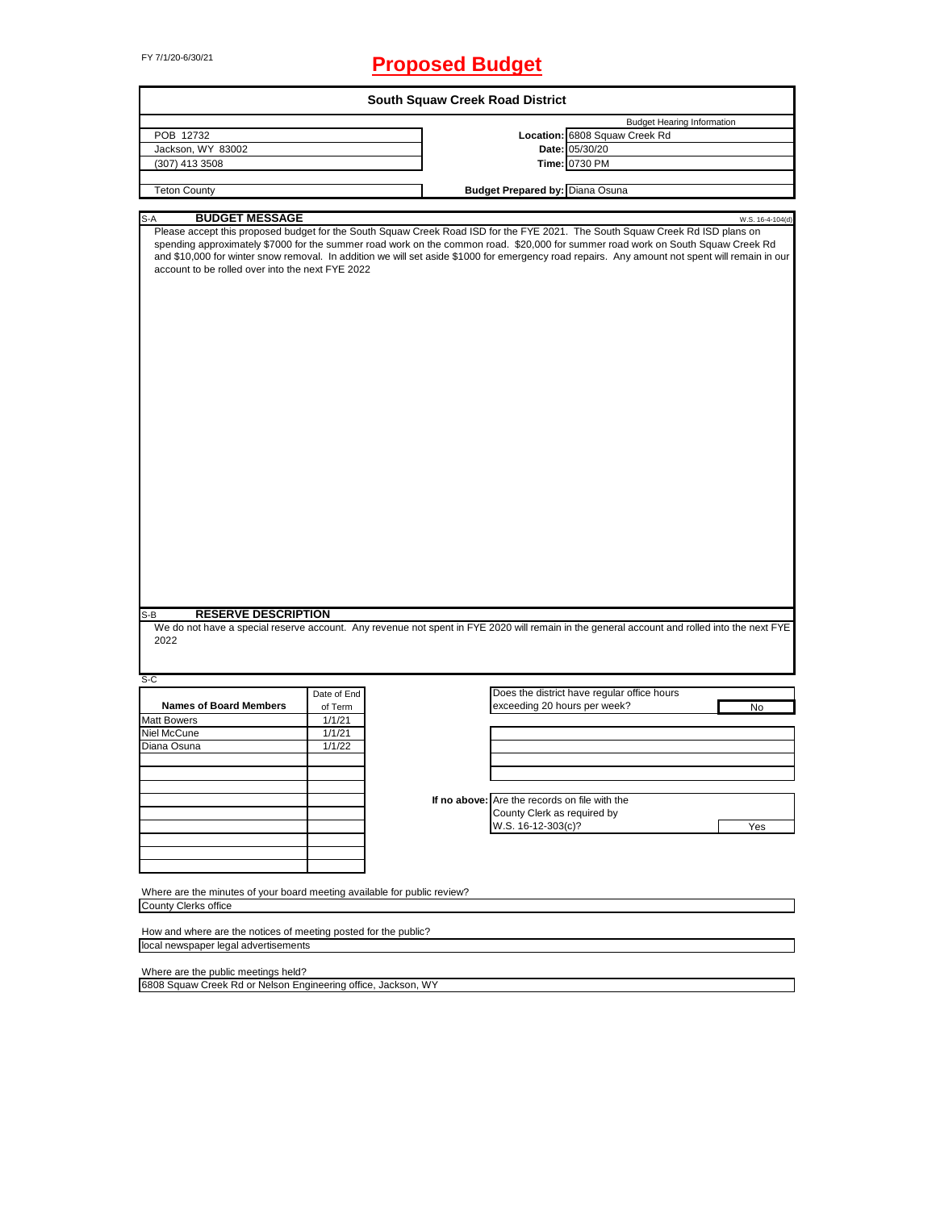# FY 7/1/20-6/30/21 **Proposed Budget**

|                                                                                                                                                                                                                                                                                                                                                                                                                                                                                                         |             |  |  | <b>South Squaw Creek Road District</b>        |                                             |                                   |                  |
|---------------------------------------------------------------------------------------------------------------------------------------------------------------------------------------------------------------------------------------------------------------------------------------------------------------------------------------------------------------------------------------------------------------------------------------------------------------------------------------------------------|-------------|--|--|-----------------------------------------------|---------------------------------------------|-----------------------------------|------------------|
|                                                                                                                                                                                                                                                                                                                                                                                                                                                                                                         |             |  |  |                                               |                                             | <b>Budget Hearing Information</b> |                  |
| POB 12732                                                                                                                                                                                                                                                                                                                                                                                                                                                                                               |             |  |  |                                               | Location: 6808 Squaw Creek Rd               |                                   |                  |
| Jackson, WY 83002                                                                                                                                                                                                                                                                                                                                                                                                                                                                                       |             |  |  |                                               | Date: 05/30/20                              |                                   |                  |
| (307) 413 3508                                                                                                                                                                                                                                                                                                                                                                                                                                                                                          |             |  |  |                                               | Time: 0730 PM                               |                                   |                  |
|                                                                                                                                                                                                                                                                                                                                                                                                                                                                                                         |             |  |  |                                               |                                             |                                   |                  |
| <b>Teton County</b>                                                                                                                                                                                                                                                                                                                                                                                                                                                                                     |             |  |  | <b>Budget Prepared by: Diana Osuna</b>        |                                             |                                   |                  |
|                                                                                                                                                                                                                                                                                                                                                                                                                                                                                                         |             |  |  |                                               |                                             |                                   |                  |
| <b>BUDGET MESSAGE</b><br>S-A<br>Please accept this proposed budget for the South Squaw Creek Road ISD for the FYE 2021. The South Squaw Creek Rd ISD plans on<br>spending approximately \$7000 for the summer road work on the common road. \$20,000 for summer road work on South Squaw Creek Rd<br>and \$10,000 for winter snow removal. In addition we will set aside \$1000 for emergency road repairs. Any amount not spent will remain in our<br>account to be rolled over into the next FYE 2022 |             |  |  |                                               |                                             |                                   | W.S. 16-4-104(d) |
| <b>RESERVE DESCRIPTION</b><br>S-B<br>We do not have a special reserve account. Any revenue not spent in FYE 2020 will remain in the general account and rolled into the next FYE<br>2022                                                                                                                                                                                                                                                                                                                |             |  |  |                                               |                                             |                                   |                  |
|                                                                                                                                                                                                                                                                                                                                                                                                                                                                                                         |             |  |  |                                               |                                             |                                   |                  |
| $S-C$                                                                                                                                                                                                                                                                                                                                                                                                                                                                                                   |             |  |  |                                               |                                             |                                   |                  |
|                                                                                                                                                                                                                                                                                                                                                                                                                                                                                                         | Date of End |  |  |                                               | Does the district have regular office hours |                                   |                  |
| <b>Names of Board Members</b>                                                                                                                                                                                                                                                                                                                                                                                                                                                                           | of Term     |  |  | exceeding 20 hours per week?                  |                                             |                                   | No               |
| <b>Matt Bowers</b>                                                                                                                                                                                                                                                                                                                                                                                                                                                                                      | 1/1/21      |  |  |                                               |                                             |                                   |                  |
| Niel McCune                                                                                                                                                                                                                                                                                                                                                                                                                                                                                             | 1/1/21      |  |  |                                               |                                             |                                   |                  |
| Diana Osuna                                                                                                                                                                                                                                                                                                                                                                                                                                                                                             | 1/1/22      |  |  |                                               |                                             |                                   |                  |
|                                                                                                                                                                                                                                                                                                                                                                                                                                                                                                         |             |  |  |                                               |                                             |                                   |                  |
|                                                                                                                                                                                                                                                                                                                                                                                                                                                                                                         |             |  |  |                                               |                                             |                                   |                  |
|                                                                                                                                                                                                                                                                                                                                                                                                                                                                                                         |             |  |  |                                               |                                             |                                   |                  |
|                                                                                                                                                                                                                                                                                                                                                                                                                                                                                                         |             |  |  | If no above: Are the records on file with the |                                             |                                   |                  |
|                                                                                                                                                                                                                                                                                                                                                                                                                                                                                                         |             |  |  | County Clerk as required by                   |                                             |                                   |                  |
|                                                                                                                                                                                                                                                                                                                                                                                                                                                                                                         |             |  |  | W.S. 16-12-303(c)?                            |                                             |                                   | Yes              |
|                                                                                                                                                                                                                                                                                                                                                                                                                                                                                                         |             |  |  |                                               |                                             |                                   |                  |
|                                                                                                                                                                                                                                                                                                                                                                                                                                                                                                         |             |  |  |                                               |                                             |                                   |                  |
|                                                                                                                                                                                                                                                                                                                                                                                                                                                                                                         |             |  |  |                                               |                                             |                                   |                  |
| Where are the minutes of your board meeting available for public review?<br>County Clerks office                                                                                                                                                                                                                                                                                                                                                                                                        |             |  |  |                                               |                                             |                                   |                  |
|                                                                                                                                                                                                                                                                                                                                                                                                                                                                                                         |             |  |  |                                               |                                             |                                   |                  |
| How and where are the notices of meeting posted for the public?                                                                                                                                                                                                                                                                                                                                                                                                                                         |             |  |  |                                               |                                             |                                   |                  |
| local newspaper legal advertisements                                                                                                                                                                                                                                                                                                                                                                                                                                                                    |             |  |  |                                               |                                             |                                   |                  |

Where are the public meetings held?

6808 Squaw Creek Rd or Nelson Engineering office, Jackson, WY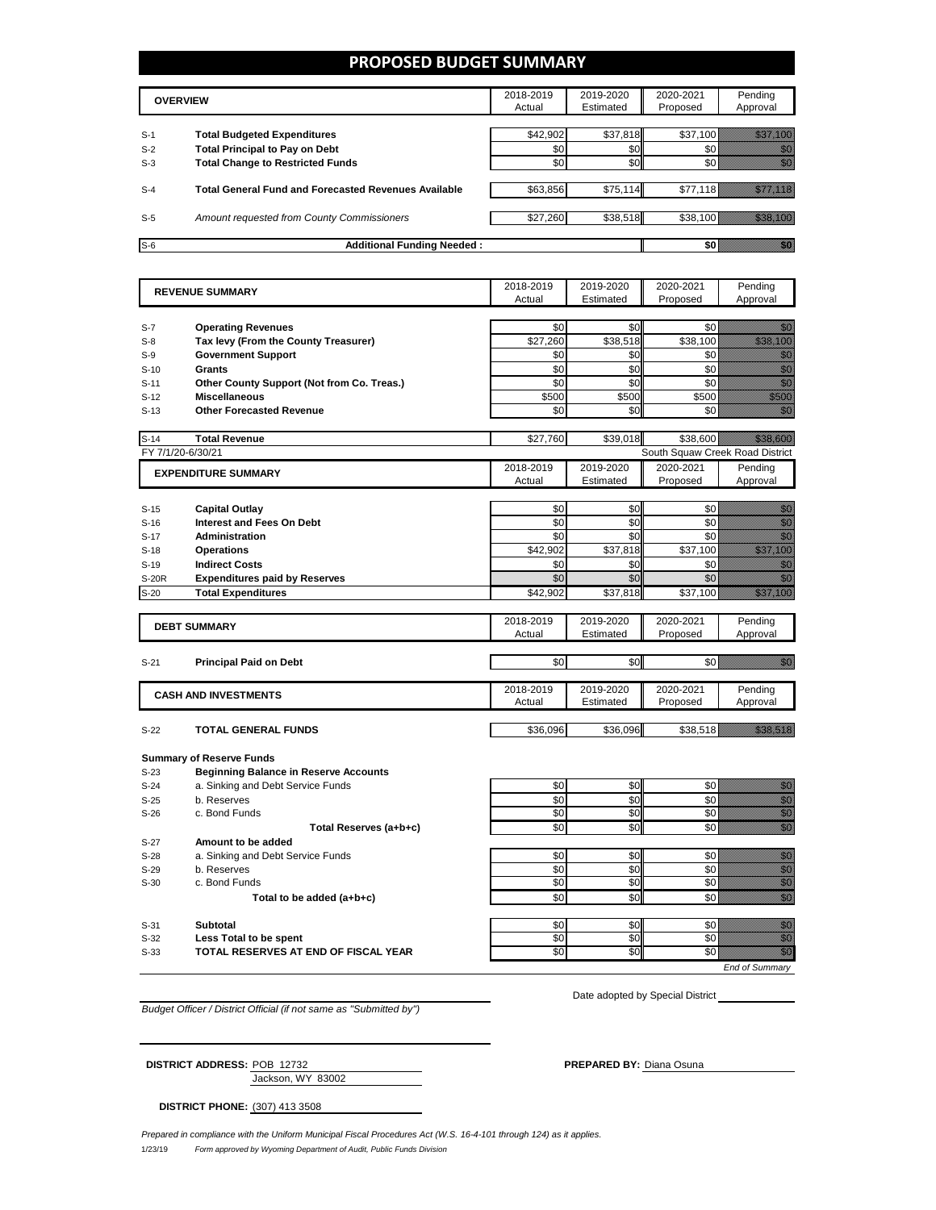### **PROPOSED BUDGET SUMMARY**

|       | <b>OVERVIEW</b>                                             |          | 2019-2020<br>Estimated | 2020-2021<br>Proposed | Pending<br>Approval |
|-------|-------------------------------------------------------------|----------|------------------------|-----------------------|---------------------|
| $S-1$ | <b>Total Budgeted Expenditures</b>                          | \$42.902 | \$37,818               | \$37,100              |                     |
| $S-2$ | <b>Total Principal to Pay on Debt</b>                       | \$0      | \$0                    |                       |                     |
| $S-3$ | <b>Total Change to Restricted Funds</b>                     | \$0      | \$0                    |                       |                     |
|       |                                                             |          |                        |                       |                     |
| $S-4$ | <b>Total General Fund and Forecasted Revenues Available</b> | \$63,856 | \$75,114               | \$77.118              |                     |
|       |                                                             |          |                        |                       |                     |
| $S-5$ | Amount requested from County Commissioners                  | \$27,260 | \$38,518               | \$38.100              |                     |
|       |                                                             |          |                        |                       |                     |
| $S-6$ | <b>Additional Funding Needed:</b>                           |          |                        |                       |                     |

|              | <b>REVENUE SUMMARY</b>                       | 2018-2019 | 2019-2020 | 2020-2021                       | Pending                                                                                                                                                                                                                           |
|--------------|----------------------------------------------|-----------|-----------|---------------------------------|-----------------------------------------------------------------------------------------------------------------------------------------------------------------------------------------------------------------------------------|
|              |                                              | Actual    | Estimated | Proposed                        | Approval                                                                                                                                                                                                                          |
|              |                                              |           |           |                                 |                                                                                                                                                                                                                                   |
| $S-7$        | <b>Operating Revenues</b>                    | \$0       | \$0       | \$0                             | en 1999.<br>Sedan pada pada kaliman dan kaliman dan kaliman dan kaliman dan kaliman dan tahun 1990.<br>Sedan kaliman dan kaliman dan kaliman dan kaliman dan kaliman dan kaliman dan kaliman dan kaliman dan kaliman              |
| $S-8$        | Tax levy (From the County Treasurer)         | \$27,260  | \$38,518  | \$38,100                        | <u>ting and the second second</u>                                                                                                                                                                                                 |
| $S-9$        | <b>Government Support</b>                    | \$0       | \$0       | \$0                             | e de la familia de la familia de la familia de la familia de la familia de la familia de la familia de la fami<br>Establecidad                                                                                                    |
| $S-10$       | Grants                                       | \$0       | \$0       | \$0                             |                                                                                                                                                                                                                                   |
| $S-11$       | Other County Support (Not from Co. Treas.)   | \$0       | \$0       | \$0                             | enni<br>Mille                                                                                                                                                                                                                     |
| $S-12$       | <b>Miscellaneous</b>                         | \$500     | \$500     | \$500                           | en de la familie de la familie de la familie de la familie de la familie de la familie de la familie de la fa<br>Espainia                                                                                                         |
| $S-13$       | <b>Other Forecasted Revenue</b>              | \$0       | \$0       | \$0                             | an dheka ku dheka ku dheka ku dheka ku dheka ku dheka ku dheka ku dheka ku dheka ku dheka ku dheka ku dheka ku<br>Marka ku dheka ku dheka ku dheka ku dheka ku dheka ku dheka ku dheka ku dheka ku dheka ku dheka ku dheka ku dh  |
| $S-14$       | <b>Total Revenue</b>                         | \$27,760  | \$39,018  | \$38,600                        | <u> Hillings</u>                                                                                                                                                                                                                  |
|              | FY 7/1/20-6/30/21                            |           |           | South Squaw Creek Road District |                                                                                                                                                                                                                                   |
|              | <b>EXPENDITURE SUMMARY</b>                   | 2018-2019 | 2019-2020 | 2020-2021                       | Pending                                                                                                                                                                                                                           |
|              |                                              | Actual    | Estimated | Proposed                        | Approval                                                                                                                                                                                                                          |
|              |                                              |           |           |                                 |                                                                                                                                                                                                                                   |
| $S-15$       | <b>Capital Outlay</b>                        | \$0       | \$0       | \$0                             | en de la familie de la familie de la familie de la familie de la familie de la familie de la familie de la fa<br>Constitution de la familie de la familie de la familie de la familie de la familie de la familie de la familie   |
| $S-16$       | <b>Interest and Fees On Debt</b>             | \$0       | \$0       | \$0                             | en de la familie de la familie de la familie de la familie de la familie de la familie de la familie de la fa<br>Construction de la familie de la familie de la familie de la familie de la familie de la familie de la familie   |
| $S-17$       | <b>Administration</b>                        | \$0       | \$0       | \$0                             | en de la familie de la familie de la familie de la familie de la familie de la familie de la familie de la fa<br>Construction de la familie de la familie de la familie de la familie de la familie de la familie de la familie   |
| $S-18$       | <b>Operations</b>                            | \$42,902  | \$37,818  | \$37,100                        | a a shekarar 2009 a shekarar 2009 a 2009 a 2009 a 2009 a 2009 a 2009 a 2009 a 2009 a 2009 a 2009 a 2009 a 200<br>Dagaarka                                                                                                         |
| $S-19$       | <b>Indirect Costs</b>                        | \$0       | \$0       | \$0                             | en de la filosofia<br>Altres de la filosofia                                                                                                                                                                                      |
| <b>S-20R</b> | <b>Expenditures paid by Reserves</b>         | \$0       | \$0       | \$0                             | en de la familie de la familie de la familie de la familie de la familie de la familie de la familie de la fam<br>Nota de la familie de la familie de la familie de la familie de la familie de la familie de la familie de la    |
| $S-20$       | <b>Total Expenditures</b>                    | \$42,902  | \$37,818  | \$37,100                        | <u>maa ka siiriikhda ka siiriikhda ka siiriikhda ka siiriikhda ka siiriikhda ka siiriikhda ka siiriikhda ka siir</u>                                                                                                              |
|              |                                              | 2018-2019 | 2019-2020 | 2020-2021                       | Pending                                                                                                                                                                                                                           |
|              | <b>DEBT SUMMARY</b>                          | Actual    | Estimated | Proposed                        | Approval                                                                                                                                                                                                                          |
|              |                                              |           |           |                                 |                                                                                                                                                                                                                                   |
| $S-21$       | <b>Principal Paid on Debt</b>                | \$0       | \$0       | \$0                             | elli politika<br>Martxo                                                                                                                                                                                                           |
|              |                                              |           |           |                                 |                                                                                                                                                                                                                                   |
|              | <b>CASH AND INVESTMENTS</b>                  | 2018-2019 | 2019-2020 | 2020-2021                       | Pending                                                                                                                                                                                                                           |
|              |                                              | Actual    | Estimated | Proposed                        | Approval                                                                                                                                                                                                                          |
|              |                                              |           |           |                                 |                                                                                                                                                                                                                                   |
| $S-22$       | <b>TOTAL GENERAL FUNDS</b>                   | \$36,096  | \$36,096  | \$38,518                        | <u> Maria Maria I</u>                                                                                                                                                                                                             |
|              | <b>Summary of Reserve Funds</b>              |           |           |                                 |                                                                                                                                                                                                                                   |
| $S-23$       | <b>Beginning Balance in Reserve Accounts</b> |           |           |                                 |                                                                                                                                                                                                                                   |
| $S-24$       | a. Sinking and Debt Service Funds            | \$0       | \$0       | \$0                             |                                                                                                                                                                                                                                   |
| $S-25$       | b. Reserves                                  | \$0       | \$0       | \$0                             | e de la composición de la composición de la composición de la composición de la composición de la composición<br>Campo de la composición de la composición de la composición de la composición de la composición de la composic   |
| $S-26$       | c. Bond Funds                                | \$0       | \$0       | \$0                             |                                                                                                                                                                                                                                   |
|              | Total Reserves (a+b+c)                       | \$0       | \$0       | \$0                             | en de la filo<br>Maria de la filòla del control de la filòla de la filòla de la filòla de la filòla de la filòla<br>Maria de la filòla de la filòla de la filòla de la filòla de la filòla de la filòla de la filòla de la filòla |
| $S-27$       | Amount to be added                           |           |           |                                 |                                                                                                                                                                                                                                   |
| $S-28$       | a. Sinking and Debt Service Funds            | \$0       | \$0       | \$0                             | en eller<br>Girlsh                                                                                                                                                                                                                |
| $S-29$       | b. Reserves                                  | \$0       | \$0       | \$0                             | e de la composición de la composición de la composición de la composición de la composición de la composición<br>Campo de la composición de la composición de la composición de la composición de la composición de la composic   |
| $S-30$       | c. Bond Funds                                | \$0       | \$0       | \$0                             |                                                                                                                                                                                                                                   |
|              | Total to be added (a+b+c)                    | \$0       | \$0       | \$0                             | en de la filosofia<br>Altres de la filòlogía                                                                                                                                                                                      |
|              |                                              |           |           |                                 |                                                                                                                                                                                                                                   |
| $S-31$       | <b>Subtotal</b>                              | \$0       | \$0       | \$0                             | e de la provincia de la provincia de la provincia de la provincia de la provincia de la provincia de la provin<br>Constituit de la provincia de la provincia de la provincia de la provincia de la provincia de la provincia de   |
| $S-32$       | Less Total to be spent                       | \$0       | \$0       | \$0                             |                                                                                                                                                                                                                                   |
| $S-33$       | TOTAL RESERVES AT END OF FISCAL YEAR         | \$0       | \$0       | \$0                             | en de la filòla de la filòla de la filòla de la filòla de la filòla de la filòla de la filòla de la filòla de<br>Califòrnia                                                                                                       |
|              |                                              |           |           |                                 | <b>End of Summarv</b>                                                                                                                                                                                                             |

*Budget Officer / District Official (if not same as "Submitted by")*

Date adopted by Special District \_\_\_\_\_\_\_\_\_\_\_

| <b>DISTRICT ADDRESS: POB 12732</b> |                   | <b>PREPARED BY: Diana Osuna</b> |
|------------------------------------|-------------------|---------------------------------|
|                                    | Jackson, WY 83002 |                                 |

**DISTRICT PHONE:** (307) 413 3508

1/23/19 *Form approved by Wyoming Department of Audit, Public Funds Division Prepared in compliance with the Uniform Municipal Fiscal Procedures Act (W.S. 16-4-101 through 124) as it applies.*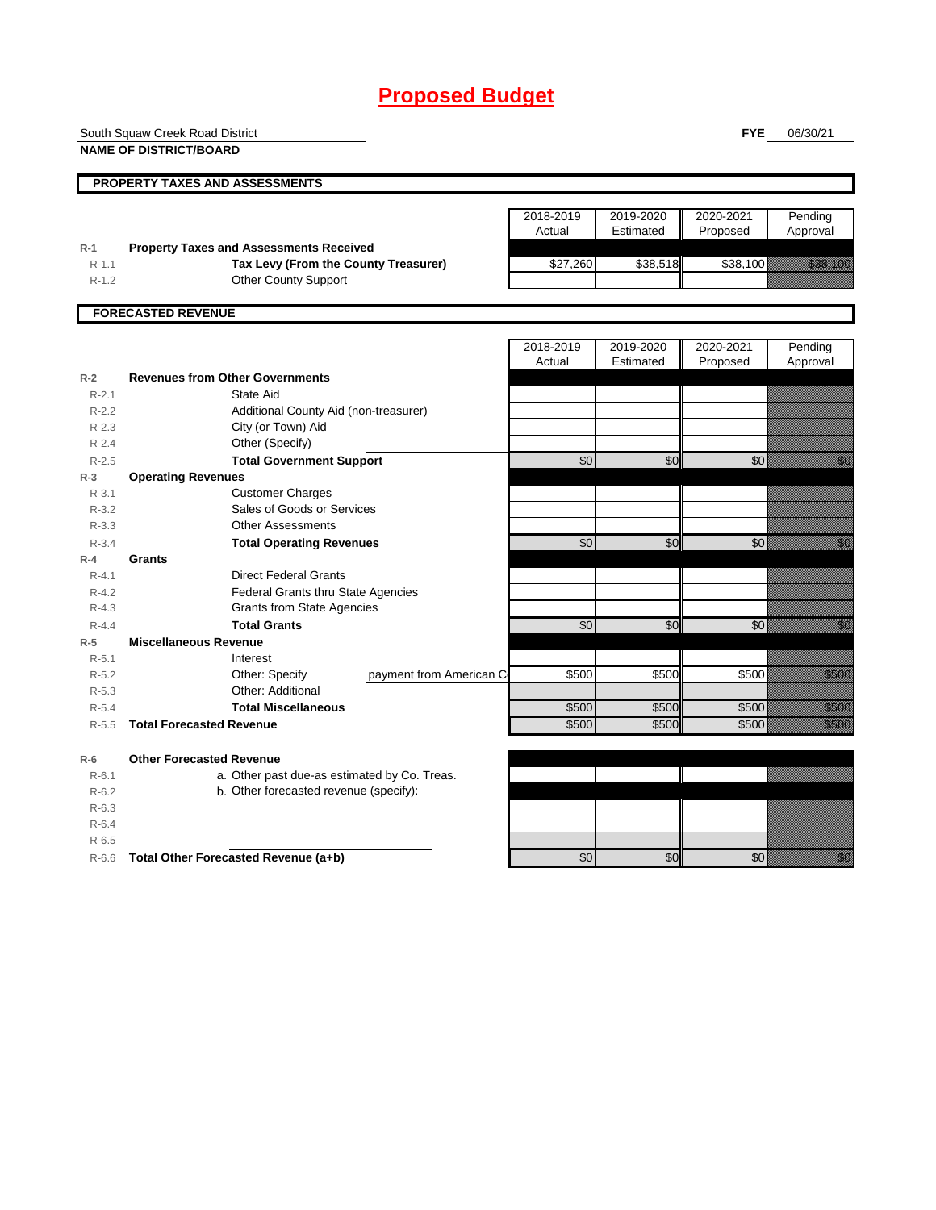# **Proposed Budget**

| <b>NAME OF DISTRICT/BOARD</b><br>PROPERTY TAXES AND ASSESSMENTS<br>2018-2019<br>2019-2020<br>2020-2021<br>Actual<br>Estimated<br>Proposed<br>Approval<br><b>Property Taxes and Assessments Received</b><br>$R-1$<br>Tax Levy (From the County Treasurer)<br>\$27,260<br>\$38,518<br>\$38,100<br>$R-1.1$<br><b>Other County Support</b><br>$R-1.2$<br><b>FORECASTED REVENUE</b><br>2018-2019<br>2020-2021<br>2019-2020<br>Actual<br>Estimated<br>Proposed<br><b>Revenues from Other Governments</b><br>$R-2$<br>State Aid<br>$R - 2.1$<br>Additional County Aid (non-treasurer)<br>$R-2.2$<br>City (or Town) Aid<br>$R-2.3$<br>$R-2.4$<br>Other (Specify)<br>\$0<br>\$0<br><b>Total Government Support</b><br>\$0<br>$R-2.5$<br>$R-3$<br><b>Operating Revenues</b> | Pending                                                                                                                                                                                                                         |
|-------------------------------------------------------------------------------------------------------------------------------------------------------------------------------------------------------------------------------------------------------------------------------------------------------------------------------------------------------------------------------------------------------------------------------------------------------------------------------------------------------------------------------------------------------------------------------------------------------------------------------------------------------------------------------------------------------------------------------------------------------------------|---------------------------------------------------------------------------------------------------------------------------------------------------------------------------------------------------------------------------------|
|                                                                                                                                                                                                                                                                                                                                                                                                                                                                                                                                                                                                                                                                                                                                                                   |                                                                                                                                                                                                                                 |
|                                                                                                                                                                                                                                                                                                                                                                                                                                                                                                                                                                                                                                                                                                                                                                   |                                                                                                                                                                                                                                 |
|                                                                                                                                                                                                                                                                                                                                                                                                                                                                                                                                                                                                                                                                                                                                                                   |                                                                                                                                                                                                                                 |
|                                                                                                                                                                                                                                                                                                                                                                                                                                                                                                                                                                                                                                                                                                                                                                   |                                                                                                                                                                                                                                 |
|                                                                                                                                                                                                                                                                                                                                                                                                                                                                                                                                                                                                                                                                                                                                                                   |                                                                                                                                                                                                                                 |
|                                                                                                                                                                                                                                                                                                                                                                                                                                                                                                                                                                                                                                                                                                                                                                   |                                                                                                                                                                                                                                 |
|                                                                                                                                                                                                                                                                                                                                                                                                                                                                                                                                                                                                                                                                                                                                                                   | a katalunggal sa katalunggal sa katalunggal sa katalunggal sa katalunggal sa katalunggal sa katalunggal sa kat                                                                                                                  |
|                                                                                                                                                                                                                                                                                                                                                                                                                                                                                                                                                                                                                                                                                                                                                                   |                                                                                                                                                                                                                                 |
|                                                                                                                                                                                                                                                                                                                                                                                                                                                                                                                                                                                                                                                                                                                                                                   |                                                                                                                                                                                                                                 |
|                                                                                                                                                                                                                                                                                                                                                                                                                                                                                                                                                                                                                                                                                                                                                                   |                                                                                                                                                                                                                                 |
|                                                                                                                                                                                                                                                                                                                                                                                                                                                                                                                                                                                                                                                                                                                                                                   | Pending                                                                                                                                                                                                                         |
|                                                                                                                                                                                                                                                                                                                                                                                                                                                                                                                                                                                                                                                                                                                                                                   | Approval                                                                                                                                                                                                                        |
|                                                                                                                                                                                                                                                                                                                                                                                                                                                                                                                                                                                                                                                                                                                                                                   |                                                                                                                                                                                                                                 |
|                                                                                                                                                                                                                                                                                                                                                                                                                                                                                                                                                                                                                                                                                                                                                                   |                                                                                                                                                                                                                                 |
|                                                                                                                                                                                                                                                                                                                                                                                                                                                                                                                                                                                                                                                                                                                                                                   |                                                                                                                                                                                                                                 |
|                                                                                                                                                                                                                                                                                                                                                                                                                                                                                                                                                                                                                                                                                                                                                                   |                                                                                                                                                                                                                                 |
|                                                                                                                                                                                                                                                                                                                                                                                                                                                                                                                                                                                                                                                                                                                                                                   |                                                                                                                                                                                                                                 |
|                                                                                                                                                                                                                                                                                                                                                                                                                                                                                                                                                                                                                                                                                                                                                                   | <u>film</u>                                                                                                                                                                                                                     |
|                                                                                                                                                                                                                                                                                                                                                                                                                                                                                                                                                                                                                                                                                                                                                                   |                                                                                                                                                                                                                                 |
| $R - 3.1$<br><b>Customer Charges</b><br>Sales of Goods or Services<br>$R - 3.2$                                                                                                                                                                                                                                                                                                                                                                                                                                                                                                                                                                                                                                                                                   |                                                                                                                                                                                                                                 |
| <b>Other Assessments</b><br>$R - 3.3$                                                                                                                                                                                                                                                                                                                                                                                                                                                                                                                                                                                                                                                                                                                             |                                                                                                                                                                                                                                 |
| \$0<br>\$0<br>\$0<br><b>Total Operating Revenues</b><br>$R - 3.4$                                                                                                                                                                                                                                                                                                                                                                                                                                                                                                                                                                                                                                                                                                 | <u>man</u>                                                                                                                                                                                                                      |
| $R-4$<br>Grants                                                                                                                                                                                                                                                                                                                                                                                                                                                                                                                                                                                                                                                                                                                                                   |                                                                                                                                                                                                                                 |
| <b>Direct Federal Grants</b><br>$R - 4.1$                                                                                                                                                                                                                                                                                                                                                                                                                                                                                                                                                                                                                                                                                                                         |                                                                                                                                                                                                                                 |
| Federal Grants thru State Agencies<br>$R - 4.2$                                                                                                                                                                                                                                                                                                                                                                                                                                                                                                                                                                                                                                                                                                                   |                                                                                                                                                                                                                                 |
| <b>Grants from State Agencies</b><br>$R - 4.3$                                                                                                                                                                                                                                                                                                                                                                                                                                                                                                                                                                                                                                                                                                                    |                                                                                                                                                                                                                                 |
| <b>Total Grants</b><br>\$0<br>\$0<br>\$0<br>$R - 4.4$                                                                                                                                                                                                                                                                                                                                                                                                                                                                                                                                                                                                                                                                                                             | en de la familie de la familie de la familie de la familie de la familie de la familie de la familie de la fa<br>Constitution de la familie de la familie de la familie de la familie de la familie de la familie de la familie |
| $R-5$<br><b>Miscellaneous Revenue</b>                                                                                                                                                                                                                                                                                                                                                                                                                                                                                                                                                                                                                                                                                                                             |                                                                                                                                                                                                                                 |
| $R - 5.1$<br>Interest                                                                                                                                                                                                                                                                                                                                                                                                                                                                                                                                                                                                                                                                                                                                             |                                                                                                                                                                                                                                 |
| \$500<br>Other: Specify<br>\$500<br>\$500<br>$R-5.2$<br>payment from American C                                                                                                                                                                                                                                                                                                                                                                                                                                                                                                                                                                                                                                                                                   | <u>i karatikana</u>                                                                                                                                                                                                             |
| Other: Additional<br>$R - 5.3$                                                                                                                                                                                                                                                                                                                                                                                                                                                                                                                                                                                                                                                                                                                                    |                                                                                                                                                                                                                                 |
| \$500<br>\$500<br>\$500<br><b>Total Miscellaneous</b><br>$R - 5.4$                                                                                                                                                                                                                                                                                                                                                                                                                                                                                                                                                                                                                                                                                                | a a an an t-                                                                                                                                                                                                                    |
| <b>Total Forecasted Revenue</b><br>\$500<br>\$500<br>\$500<br>$R - 5.5$                                                                                                                                                                                                                                                                                                                                                                                                                                                                                                                                                                                                                                                                                           | <u>ti k</u>                                                                                                                                                                                                                     |
| <b>Other Forecasted Revenue</b><br>$R-6$                                                                                                                                                                                                                                                                                                                                                                                                                                                                                                                                                                                                                                                                                                                          |                                                                                                                                                                                                                                 |
| a. Other past due-as estimated by Co. Treas.<br>$R - 6.1$                                                                                                                                                                                                                                                                                                                                                                                                                                                                                                                                                                                                                                                                                                         |                                                                                                                                                                                                                                 |
| b. Other forecasted revenue (specify):<br>$R-6.2$                                                                                                                                                                                                                                                                                                                                                                                                                                                                                                                                                                                                                                                                                                                 |                                                                                                                                                                                                                                 |
| $R-6.3$                                                                                                                                                                                                                                                                                                                                                                                                                                                                                                                                                                                                                                                                                                                                                           |                                                                                                                                                                                                                                 |
| $R-6.4$                                                                                                                                                                                                                                                                                                                                                                                                                                                                                                                                                                                                                                                                                                                                                           |                                                                                                                                                                                                                                 |
| $R-6.5$                                                                                                                                                                                                                                                                                                                                                                                                                                                                                                                                                                                                                                                                                                                                                           |                                                                                                                                                                                                                                 |
| \$0<br>\$0<br>\$0<br>Total Other Forecasted Revenue (a+b)<br>$R-6.6$                                                                                                                                                                                                                                                                                                                                                                                                                                                                                                                                                                                                                                                                                              |                                                                                                                                                                                                                                 |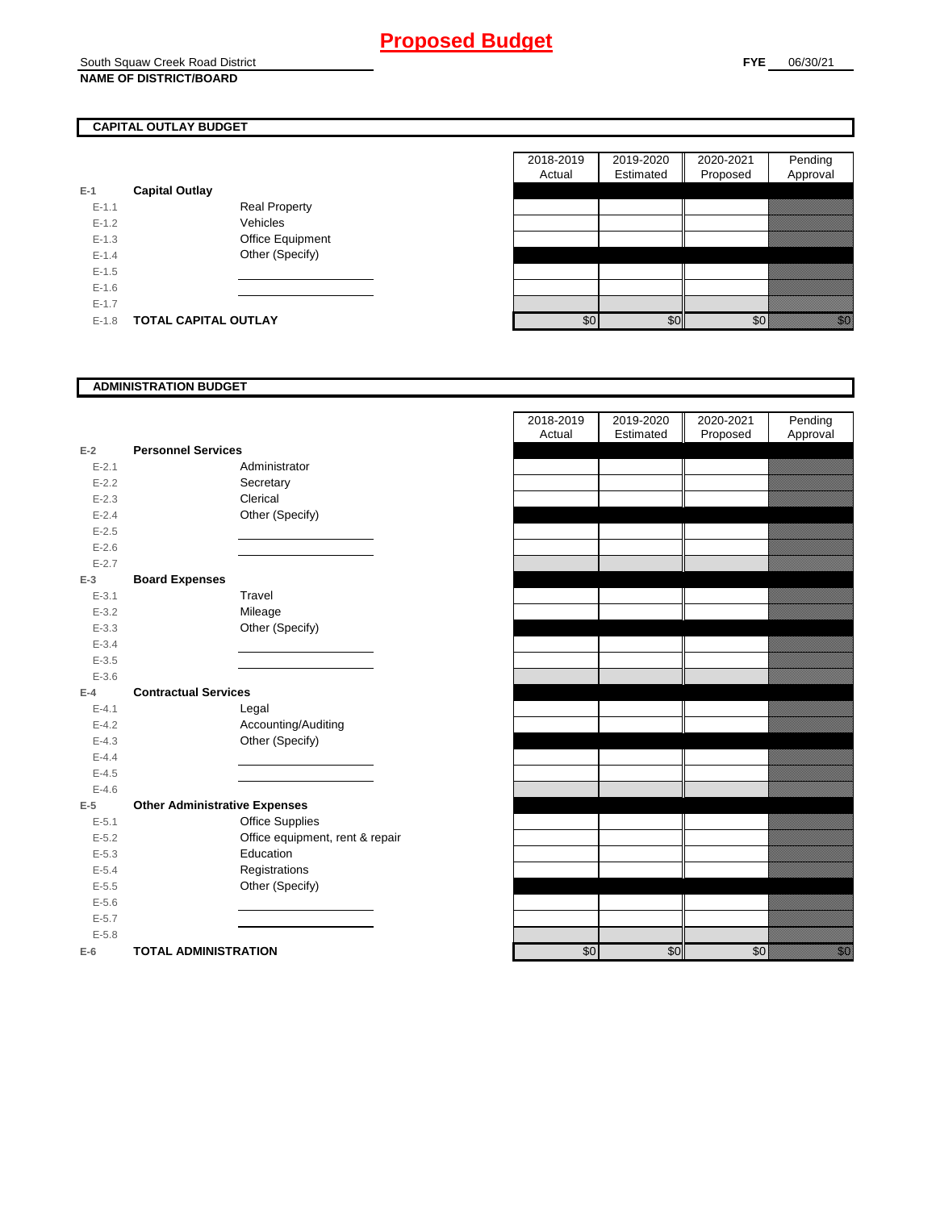#### South Squaw Creek Road District **NAME OF DISTRICT/BOARD**

# **CAPITAL OUTLAY BUDGET**

| $E-1$     | <b>Capital Outlay</b> |                         |
|-----------|-----------------------|-------------------------|
| $E - 1.1$ |                       | Real Property           |
| $F-12$    |                       | Vehicles                |
| $F-1.3$   |                       | <b>Office Equipment</b> |
| $F-14$    |                       | Other (Specify)         |
| $F-1.5$   |                       |                         |
| $F-16$    |                       |                         |
| $F-17$    |                       |                         |
| $F-1.8$   | TOTAL CAPITAL OUTLAY  |                         |

|           |                             |                      | 2018-2019 | 2019-2020 | 2020-2021 | Pending                                                                                                                   |
|-----------|-----------------------------|----------------------|-----------|-----------|-----------|---------------------------------------------------------------------------------------------------------------------------|
|           |                             |                      | Actual    | Estimated | Proposed  | Approval                                                                                                                  |
|           | <b>Capital Outlay</b>       |                      |           |           |           |                                                                                                                           |
| $E - 1.1$ |                             | <b>Real Property</b> |           |           |           |                                                                                                                           |
| $E-1.2$   |                             | Vehicles             |           |           |           |                                                                                                                           |
| $E-1.3$   |                             | Office Equipment     |           |           |           |                                                                                                                           |
| $E - 1.4$ |                             | Other (Specify)      |           |           |           |                                                                                                                           |
| $E-1.5$   |                             |                      |           |           |           |                                                                                                                           |
| $E-1.6$   |                             |                      |           |           |           |                                                                                                                           |
| $E - 1.7$ |                             |                      |           |           |           |                                                                                                                           |
| $E-1.8$   | <b>TOTAL CAPITAL OUTLAY</b> |                      | \$0       | \$0       | \$0       | en de la familie de la familie de la familie de la familie de la familie de la familie de la familie de la fa<br>Espainia |

### **ADMINISTRATION BUDGET**

| $E-2$     | <b>Personnel Services</b>            |
|-----------|--------------------------------------|
| $E - 2.1$ | Administrator                        |
| $E - 2.2$ | Secretary                            |
| $E - 2.3$ | Clerical                             |
| $E - 2.4$ | Other (Specify)                      |
| $E - 2.5$ |                                      |
| $E - 2.6$ |                                      |
| $E - 2.7$ |                                      |
| $E-3$     | <b>Board Expenses</b>                |
| $E - 3.1$ | Travel                               |
| $E - 3.2$ | Mileage                              |
| $E - 3.3$ | Other (Specify)                      |
| $E - 3.4$ |                                      |
| $E - 3.5$ |                                      |
| $E - 3.6$ |                                      |
| $E-4$     | <b>Contractual Services</b>          |
| $E - 4.1$ | Legal                                |
| $E - 4.2$ | Accounting/Auditing                  |
| $E - 4.3$ | Other (Specify)                      |
| $E - 4.4$ |                                      |
| $E - 4.5$ |                                      |
| $E - 4.6$ |                                      |
| $E-5$     | <b>Other Administrative Expenses</b> |
| $E - 5.1$ | <b>Office Supplies</b>               |
| $E - 5.2$ | Office equipment, rent & repair      |
| $E - 5.3$ | Education                            |
| $E - 5.4$ | Registrations                        |
| $E - 5.5$ | Other (Specify)                      |
| $E - 5.6$ |                                      |
| $E - 5.7$ |                                      |
| $E - 5.8$ |                                      |
| $E-6$     | <b>TOTAL ADMINISTRATION</b>          |

| 2018-2019 | 2019-2020 | 2020-2021 | Pending       |
|-----------|-----------|-----------|---------------|
| Actual    | Estimated | Proposed  | Approval      |
|           |           |           |               |
|           |           |           |               |
|           |           |           |               |
|           |           |           |               |
|           |           |           |               |
|           |           |           |               |
|           |           |           |               |
|           |           |           |               |
|           |           |           |               |
|           |           |           |               |
|           |           |           |               |
|           |           |           |               |
|           |           |           |               |
|           |           |           |               |
|           |           |           |               |
|           |           |           |               |
|           |           |           |               |
|           |           |           |               |
|           |           |           |               |
|           |           |           |               |
|           |           |           |               |
|           |           |           |               |
|           |           |           |               |
|           |           |           |               |
|           |           |           |               |
|           |           |           |               |
|           |           |           |               |
|           |           |           |               |
|           |           |           |               |
|           |           |           |               |
|           |           |           |               |
|           | \$0       |           | enne<br>Mille |
| \$0       |           | \$0       |               |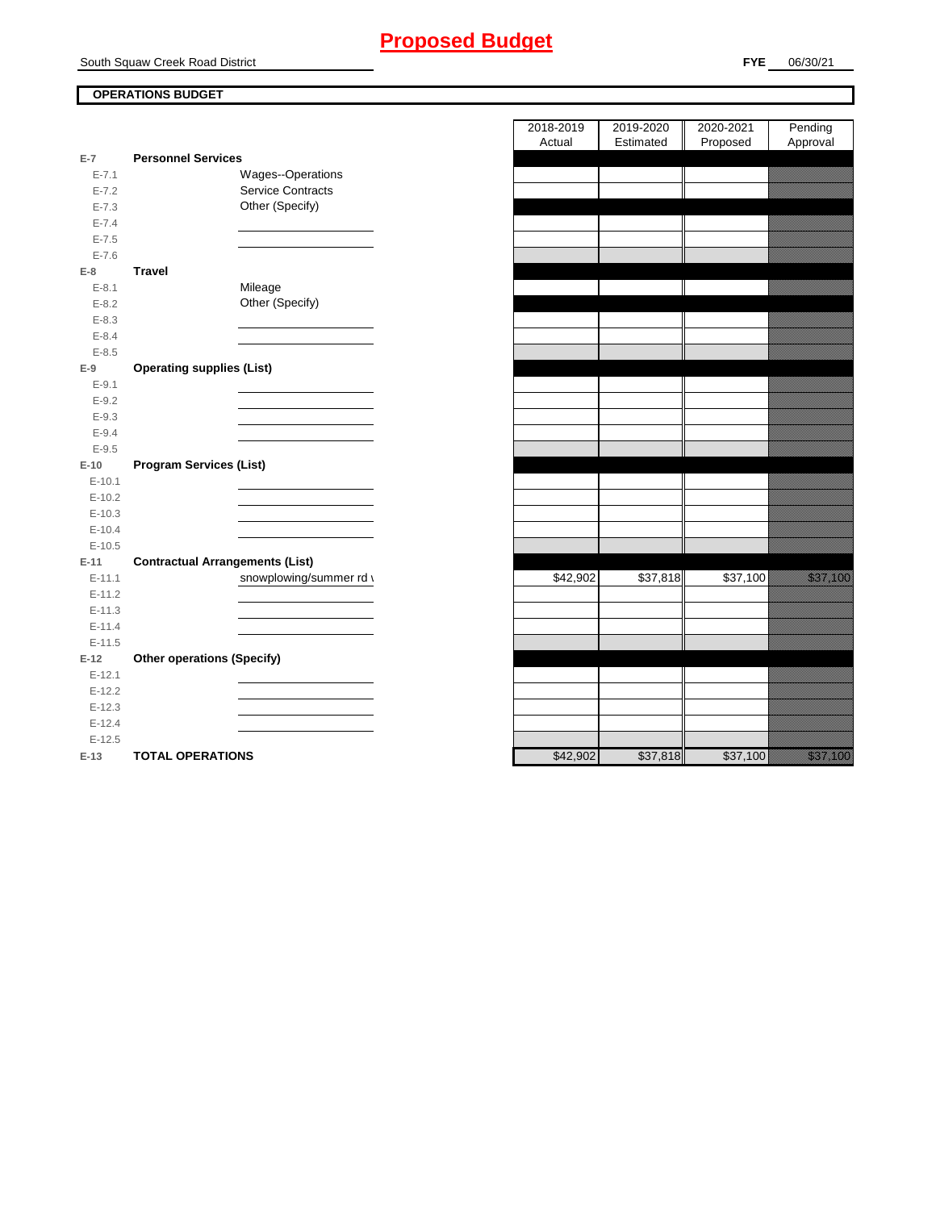# **Proposed Budget**

South Squaw Creek Road District

## **OPERATIONS BUDGET**

|           |                                        | nuuai    | Lournated <b>I</b> | r rupuseu |
|-----------|----------------------------------------|----------|--------------------|-----------|
| $E-7$     | <b>Personnel Services</b>              |          |                    |           |
| $E - 7.1$ | Wages--Operations                      |          |                    |           |
| $E - 7.2$ | Service Contracts                      |          |                    |           |
| $E - 7.3$ | Other (Specify)                        |          |                    |           |
| $E - 7.4$ |                                        |          |                    |           |
| $E - 7.5$ |                                        |          |                    |           |
| $E - 7.6$ |                                        |          |                    |           |
| $E-8$     | <b>Travel</b>                          |          |                    |           |
| $E - 8.1$ | Mileage                                |          |                    |           |
| $E - 8.2$ | Other (Specify)                        |          |                    |           |
| $E - 8.3$ |                                        |          |                    |           |
| $E - 8.4$ |                                        |          |                    |           |
| $E - 8.5$ |                                        |          |                    |           |
| $E-9$     | <b>Operating supplies (List)</b>       |          |                    |           |
| $E - 9.1$ |                                        |          |                    |           |
| $E - 9.2$ |                                        |          |                    |           |
| $E-9.3$   |                                        |          |                    |           |
| $E - 9.4$ |                                        |          |                    |           |
| $E-9.5$   |                                        |          |                    |           |
| $E-10$    | <b>Program Services (List)</b>         |          |                    |           |
| $E-10.1$  |                                        |          |                    |           |
| $E-10.2$  |                                        |          |                    |           |
| $E-10.3$  |                                        |          |                    |           |
| $E-10.4$  |                                        |          |                    |           |
| $E-10.5$  |                                        |          |                    |           |
| $E-11$    | <b>Contractual Arrangements (List)</b> |          |                    |           |
| $E-11.1$  | snowplowing/summer rd \                | \$42,902 | \$37,818           | \$37,100  |
| $E-11.2$  |                                        |          |                    |           |
| $E-11.3$  |                                        |          |                    |           |
| $E-11.4$  |                                        |          |                    |           |
| $E-11.5$  |                                        |          |                    |           |
| $E-12$    | <b>Other operations (Specify)</b>      |          |                    |           |
| $E-12.1$  |                                        |          |                    |           |
| $E-12.2$  |                                        |          |                    |           |
| $E-12.3$  |                                        |          |                    |           |
| $E-12.4$  |                                        |          |                    |           |
| $E-12.5$  |                                        |          |                    |           |
| $E-13$    | <b>TOTAL OPERATIONS</b>                | \$42,902 | \$37,818           | \$37,100  |

|                |                                        | 2018-2019 | 2019-2020 | 2020-2021 | Pending                            |
|----------------|----------------------------------------|-----------|-----------|-----------|------------------------------------|
|                |                                        | Actual    | Estimated | Proposed  | Approval                           |
| $\overline{7}$ | <b>Personnel Services</b>              |           |           |           |                                    |
| $E - 7.1$      | Wages--Operations                      |           |           |           |                                    |
| $E - 7.2$      | <b>Service Contracts</b>               |           |           |           |                                    |
| $E - 7.3$      | Other (Specify)                        |           |           |           |                                    |
| $E - 7.4$      |                                        |           |           |           |                                    |
| $E - 7.5$      |                                        |           |           |           |                                    |
| $E - 7.6$<br>8 | <b>Travel</b>                          |           |           |           |                                    |
| $E - 8.1$      | Mileage                                |           |           |           |                                    |
| $E - 8.2$      | Other (Specify)                        |           |           |           |                                    |
| $E - 8.3$      |                                        |           |           |           |                                    |
| $E-8.4$        |                                        |           |           |           |                                    |
| $E - 8.5$      |                                        |           |           |           |                                    |
| 9              | <b>Operating supplies (List)</b>       |           |           |           |                                    |
| $E-9.1$        |                                        |           |           |           |                                    |
| $E - 9.2$      |                                        |           |           |           |                                    |
| $E - 9.3$      |                                        |           |           |           |                                    |
| $E - 9.4$      |                                        |           |           |           |                                    |
| $E - 9.5$      |                                        |           |           |           |                                    |
| 10             | <b>Program Services (List)</b>         |           |           |           |                                    |
| $E-10.1$       |                                        |           |           |           |                                    |
| $E-10.2$       |                                        |           |           |           |                                    |
| $E-10.3$       |                                        |           |           |           |                                    |
| $E-10.4$       |                                        |           |           |           |                                    |
| $E-10.5$       |                                        |           |           |           |                                    |
| $11 -$         | <b>Contractual Arrangements (List)</b> |           |           |           |                                    |
| $E-11.1$       | snowplowing/summer rd \                | \$42,902  | \$37,818  | \$37,100  | <u> Karl Barat da</u>              |
| $E-11.2$       |                                        |           |           |           |                                    |
| $E-11.3$       |                                        |           |           |           |                                    |
| $E-11.4$       |                                        |           |           |           |                                    |
| $E-11.5$       |                                        |           |           |           |                                    |
| 12             | <b>Other operations (Specify)</b>      |           |           |           |                                    |
| $E-12.1$       |                                        |           |           |           |                                    |
| $E-12.2$       |                                        |           |           |           |                                    |
| $E-12.3$       |                                        |           |           |           |                                    |
| $E-12.4$       |                                        |           |           |           |                                    |
| $E-12.5$       |                                        |           |           |           |                                    |
| $-13$          | <b>TOTAL OPERATIONS</b>                | \$42.902  | \$37.818  | \$37.100  | <u>ta ka</u> kalendari katalog asl |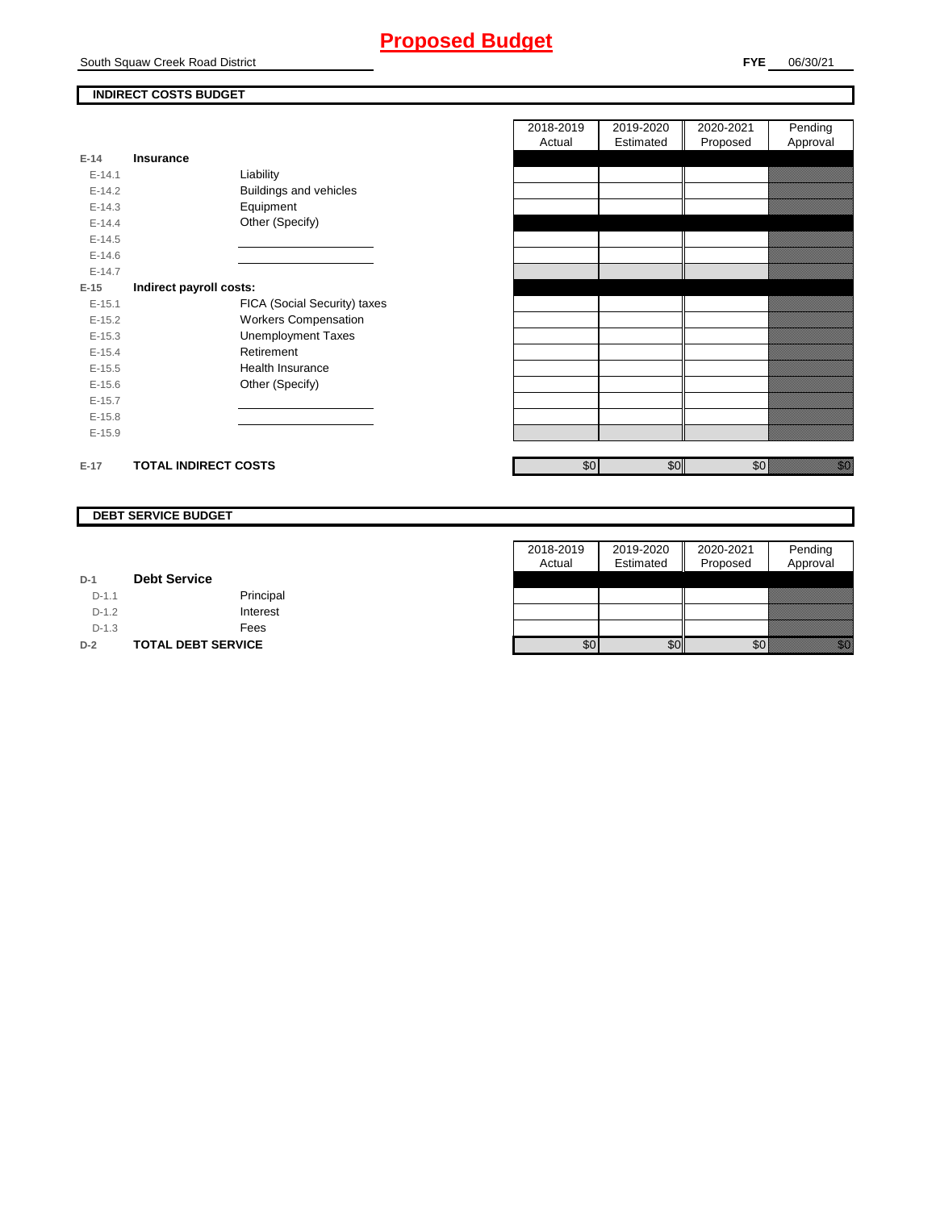# **Proposed Budget**

### **INDIRECT COSTS BUDGET**

| $E-14$     | Insurance                   |                               |
|------------|-----------------------------|-------------------------------|
| $F-141$    |                             | Liability                     |
| $F-142$    |                             | <b>Buildings and vehicles</b> |
| $E-14.3$   |                             | Equipment                     |
| $F-144$    |                             | Other (Specify)               |
| $E-14.5$   |                             |                               |
| $E - 14.6$ |                             |                               |
| $F-147$    |                             |                               |
| $E-15$     | Indirect payroll costs:     |                               |
| $E - 15.1$ |                             | FICA (Social Security) taxes  |
| $E-15.2$   |                             | <b>Workers Compensation</b>   |
| $E-15.3$   |                             | <b>Unemployment Taxes</b>     |
| $E-15.4$   |                             | Retirement                    |
| $E-15.5$   |                             | Health Insurance              |
| $E - 15.6$ |                             | Other (Specify)               |
| $E-15.7$   |                             |                               |
| $E-15.8$   |                             |                               |
| $E-15.9$   |                             |                               |
|            |                             |                               |
| $E-17$     | <b>TOTAL INDIRECT COSTS</b> |                               |

| 2018-2019 | 2019-2020 | 2020-2021 | Pending  |
|-----------|-----------|-----------|----------|
| Actual    | Estimated | Proposed  | Approval |
|           |           |           |          |
|           |           |           |          |
|           |           |           |          |
|           |           |           |          |
|           |           |           |          |
|           |           |           |          |
|           |           |           |          |
|           |           |           |          |
|           |           |           |          |
|           |           |           |          |
|           |           |           |          |
|           |           |           |          |
|           |           |           |          |
|           |           |           |          |
|           |           |           |          |
|           |           |           |          |
|           |           |           |          |
|           |           |           |          |
|           |           |           |          |
|           |           |           |          |
| \$0       | \$0       | \$0       |          |

#### **DEBT SERVICE BUDGET**

|         |                           | 2018-2019 | 2019-2020 | 2020-2021 | Pending                                                                                                                                                                                                                          |
|---------|---------------------------|-----------|-----------|-----------|----------------------------------------------------------------------------------------------------------------------------------------------------------------------------------------------------------------------------------|
|         |                           | Actual    | Estimated | Proposed  | Approval                                                                                                                                                                                                                         |
| $D-1$   | <b>Debt Service</b>       |           |           |           |                                                                                                                                                                                                                                  |
| $D-1.1$ | Principal                 |           |           |           |                                                                                                                                                                                                                                  |
| $D-1.2$ | Interest                  |           |           |           |                                                                                                                                                                                                                                  |
| $D-1.3$ | Fees                      |           |           |           |                                                                                                                                                                                                                                  |
| $D-2$   | <b>TOTAL DEBT SERVICE</b> | \$0       | \$0       | \$0       | en de la familie de la familie de la familie de la familie de la familie de la familie de la familie de la fam<br>De la familie de la familie de la familie de la familie de la familie de la familie de la familie de la famili |